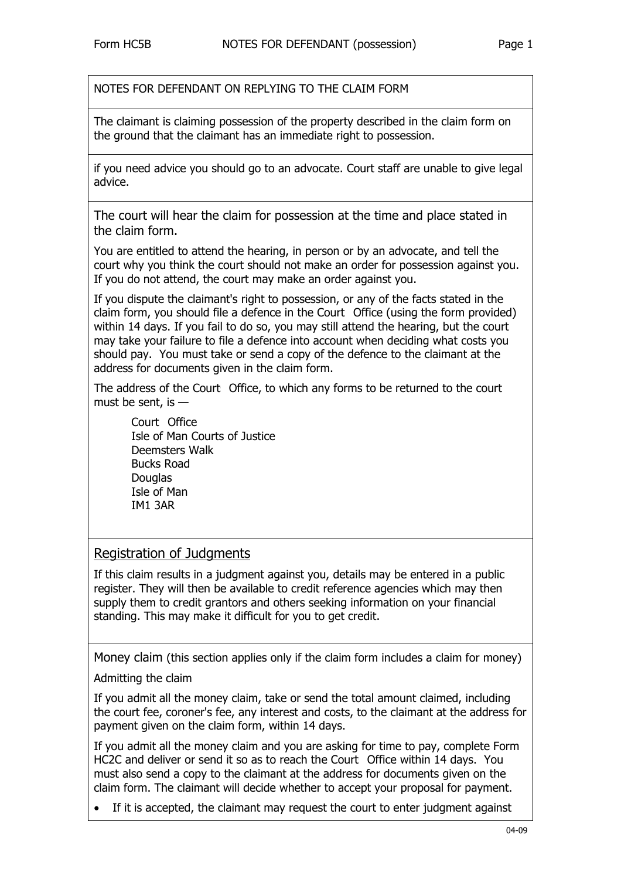NOTES FOR DEFENDANT ON REPLYING TO THE CLAIM FORM

The claimant is claiming possession of the property described in the claim form on the ground that the claimant has an immediate right to possession.

if you need advice you should go to an advocate. Court staff are unable to give legal advice.

The court will hear the claim for possession at the time and place stated in the claim form.

You are entitled to attend the hearing, in person or by an advocate, and tell the court why you think the court should not make an order for possession against you. If you do not attend, the court may make an order against you.

If you dispute the claimant's right to possession, or any of the facts stated in the claim form, you should file a defence in the Court Office (using the form provided) within 14 days. If you fail to do so, you may still attend the hearing, but the court may take your failure to file a defence into account when deciding what costs you should pay. You must take or send a copy of the defence to the claimant at the address for documents given in the claim form.

The address of the Court Office, to which any forms to be returned to the court must be sent, is —

Court Office Isle of Man Courts of Justice Deemsters Walk Bucks Road **Douglas** Isle of Man IM1 3AR

## Registration of Judgments

If this claim results in a judgment against you, details may be entered in a public register. They will then be available to credit reference agencies which may then supply them to credit grantors and others seeking information on your financial standing. This may make it difficult for you to get credit.

Money claim (this section applies only if the claim form includes a claim for money)

Admitting the claim

If you admit all the money claim, take or send the total amount claimed, including the court fee, coroner's fee, any interest and costs, to the claimant at the address for payment given on the claim form, within 14 days.

If you admit all the money claim and you are asking for time to pay, complete Form HC2C and deliver or send it so as to reach the Court Office within 14 days. You must also send a copy to the claimant at the address for documents given on the claim form. The claimant will decide whether to accept your proposal for payment.

If it is accepted, the claimant may request the court to enter judgment against